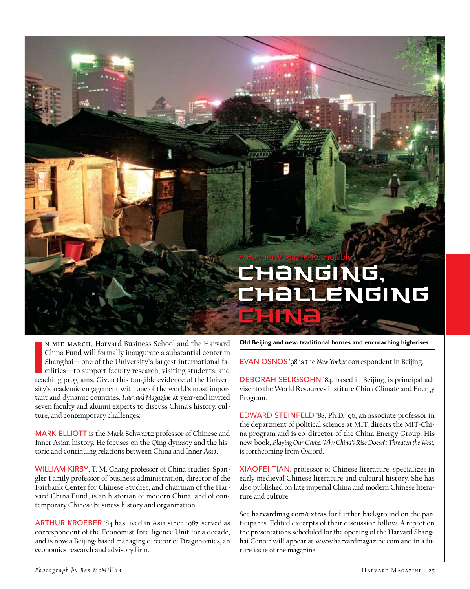# A *Harvard Magazine* Roundtable HANGING, **THALLENGING**

n mid March, Harvard Business School and the Harvard China Fund will formally inaugurate a substantial center in Shanghai—one of the University's largest international facilities—to support faculty research, visiting students, and teaching programs. Given this tangible evidence of the University's academic engagement with one of the world's most important and dynamic countries, *Harvard Magazine* at year-end invited seven faculty and alumni experts to discuss China's history, culture, and contemporary challenges:

MARK ELLIOTT is the Mark Schwartz professor of Chinese and Inner Asian history. He focuses on the Qing dynasty and the historic and continuing relations between China and Inner Asia.

WILLIAM KIRBY, T. M. Chang professor of China studies, Spangler Family professor of business administration, director of the Fairbank Center for Chinese Studies, and chairman of the Harvard China Fund, is an historian of modern China, and of contemporary Chinese business history and organization.

ARTHUR KROEBER '84 has lived in Asia since 1987, served as correspondent of the Economist Intelligence Unit for a decade, and is now a Beijing-based managing director of Dragonomics, an economics research and advisory firm.

**Old Beijing and new: traditional homes and encroaching high-rises**

Evan Osnos '98 is the *New Yorker* correspondent in Beijing.

DEBORAH SELIGSOHN '84, based in Beijing, is principal adviser to the World Resources Institute China Climate and Energy Program.

Edward Steinfeld '88, Ph.D. '96, an associate professor in the department of political science at MIT, directs the MIT-China program and is co-director of the China Energy Group. His new book, *Playing Our Game: Why China's Rise Doesn't Threaten the West,* is forthcoming from Oxford.

XIAOFEI TIAN, professor of Chinese literature, specializes in early medieval Chinese literature and cultural history. She has also published on late imperial China and modern Chinese literature and culture.

See **harvardmag.com/extras** for further background on the participants. Edited excerpts of their discussion follow. A report on the presentations scheduled for the opening of the Harvard Shanghai Center will appear at www.harvardmagazine.com and in a future issue of the magazine.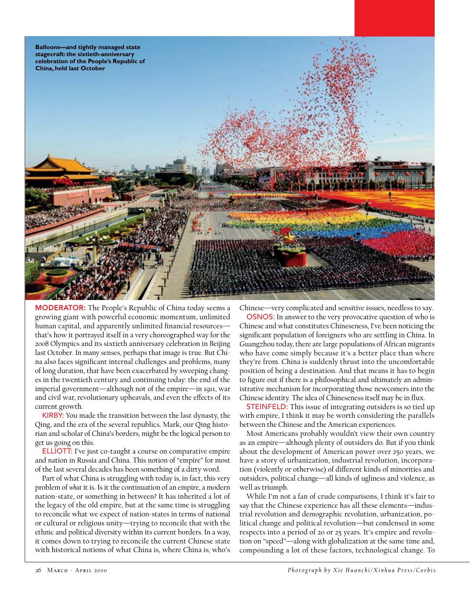

**MODERATOR:** The People's Republic of China today seems a growing giant with powerful economic momentum, unlimited human capital, and apparently unlimited financial resources that's how it portrayed itself in a very choreographed way for the 2008 Olympics and its sixtieth anniversary celebration in Beijing last October. In many senses, perhaps that image is true. But China also faces significant internal challenges and problems, many of long duration, that have been exacerbated by sweeping changes in the twentieth century and continuing today: the end of the imperial government—although not of the empire—in 1911, war and civil war, revolutionary upheavals, and even the effects of its current growth.

KIRBY: You made the transition between the last dynasty, the Qing, and the era of the several republics. Mark, our Qing historian and scholar of China's borders, might be the logical person to get us going on this.

ELLIOTT: I've just co-taught a course on comparative empire and nation in Russia and China. This notion of "empire" for most of the last several decades has been something of a dirty word.

Part of what China is struggling with today is, in fact, this very problem of *what* it is. Is it the continuation of an empire, a modern nation-state, or something in between? It has inherited a lot of the legacy of the old empire, but at the same time is struggling to reconcile what we expect of nation-states in terms of national or cultural or religious unity—trying to reconcile that with the ethnic and political diversity within its current borders. In a way, it comes down to trying to reconcile the current Chinese state with historical notions of what China is, where China is, who's

Chinese—very complicated and sensitive issues, needless to say.

OSNOS: In answer to the very provocative question of who is Chinese and what constitutes Chineseness, I've been noticing the significant population of foreigners who are settling in China. In Guangzhou today, there are large populations of African migrants who have come simply because it's a better place than where they're from. China is suddenly thrust into the uncomfortable position of being a destination. And that means it has to begin to figure out if there is a philosophical and ultimately an administrative mechanism for incorporating those newcomers into the Chinese identity. The idea of Chineseness itself may be in flux.

STEINFELD: This issue of integrating outsiders is so tied up with empire, I think it may be worth considering the parallels between the Chinese and the American experiences.

Most Americans probably wouldn't view their own country as an empire—although plenty of outsiders do. But if you think about the development of American power over 250 years, we have a story of urbanization, industrial revolution, incorporation (violently or otherwise) of different kinds of minorities and outsiders, political change—all kinds of ugliness and violence, as well as triumph.

While I'm not a fan of crude comparisons, I think it's fair to say that the Chinese experience has all these elements—industrial revolution and demographic revolution, urbanization, political change and political revolution—but condensed in some respects into a period of 20 or 25 years. It's empire and revolution on "speed"—along with globalization at the same time and, compounding a lot of these factors, technological change. To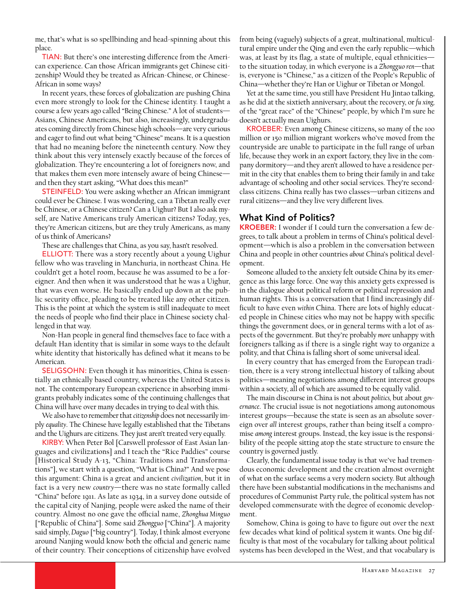me, that's what is so spellbinding and head-spinning about this place.

TIAN: But there's one interesting difference from the American experience. Can those African immigrants get Chinese citizenship? Would they be treated as African-Chinese, or Chinese-African in some ways?

In recent years, these forces of globalization are pushing China even more strongly to look for the Chinese identity. I taught a course a few years ago called "Being Chinese." A lot of students— Asians, Chinese Americans, but also, increasingly, undergraduates coming directly from Chinese high schools—are very curious and eager to find out what being "Chinese" means. It is a question that had no meaning before the nineteenth century. Now they think about this very intensely exactly because of the forces of globalization. They're encountering a lot of foreigners now, and that makes them even more intensely aware of being Chinese and then they start asking, "What does this mean?"

**STEINFELD:** You were asking whether an African immigrant could ever be Chinese. I was wondering, can a Tibetan really ever be Chinese, or a Chinese citizen? Can a Uighur? But I also ask myself, are Native Americans truly American citizens? Today, yes, they're American citizens, but are they truly Americans, as many of us think of Americans?

These are challenges that China, as you say, hasn't resolved.

ELLIOTT: There was a story recently about a young Uighur fellow who was traveling in Manchuria, in northeast China. He couldn't get a hotel room, because he was assumed to be a foreigner. And then when it was understood that he was a Uighur, that was even worse. He basically ended up down at the public security office, pleading to be treated like any other citizen. This is the point at which the system is still inadequate to meet the needs of people who find their place in Chinese society challenged in that way.

Non-Han people in general find themselves face to face with a default Han identity that is similar in some ways to the default white identity that historically has defined what it means to be American.

SELIGSOHN: Even though it has minorities, China is essentially an ethnically based country, whereas the United States is not. The contemporary European experience in absorbing immigrants probably indicates some of the continuing challenges that China will have over many decades in trying to deal with this.

We also have to remember that *citizenship* does not necessarily imply *equality*. The Chinese have legally established that the Tibetans and the Uighurs are citizens. They just aren't treated very equally.

KIRBY: When Peter Bol [Carswell professor of East Asian languages and civilizations] and I teach the "Rice Paddies" course [Historical Study A-13, "China: Traditions and Transformations"], we start with a question, "What is China?" And we pose this argument: China is a great and ancient *civilization*, but it in fact is a very new *country*—there was no state formally called "China" before 1911. As late as 1934, in a survey done outside of the capital city of Nanjing, people were asked the name of their country. Almost no one gave the official name, *Zhonghua Minguo*  ["Republic of China"]. Some said *Zhongguo* ["China"]. A majority said simply, *Daguo* ["big country"]. Today, I think almost everyone around Nanjing would know both the official and generic name of their country. Their conceptions of citizenship have evolved

from being (vaguely) subjects of a great, multinational, multicultural empire under the Qing and even the early republic—which was, at least by its flag, a state of multiple, equal ethnicities to the situation today, in which everyone is a *Zhongguo ren*—that is, everyone is "Chinese," as a citizen of the People's Republic of China—whether they're Han or Uighur or Tibetan or Mongol.

Yet at the same time, you still have President Hu Jintao talking, as he did at the sixtieth anniversary, about the recovery, or *fu xing,* of the "great race" of the "Chinese" people, by which I'm sure he doesn't actually mean Uighurs.

KROEBER: Even among Chinese citizens**,** so many of the 100 million or 150 million migrant workers who've moved from the countryside are unable to participate in the full range of urban life, because they work in an export factory, they live in the company dormitory—and they aren't allowed to have a residence permit in the city that enables them to bring their family in and take advantage of schooling and other social services. They're secondclass citizens. China really has two classes—urban citizens and rural citizens—and they live very different lives.

# What Kind of Politics?

KROEBER: I wonder if I could turn the conversation a few degrees, to talk about a problem in terms of China's political development—which is also a problem in the conversation between China and people in other countries *about* China's political development.

Someone alluded to the anxiety felt outside China by its emergence as this large force. One way this anxiety gets expressed is in the dialogue about political reform or political repression and human rights. This is a conversation that I find increasingly difficult to have even *within* China. There are lots of highly educated people in Chinese cities who may not be happy with specific things the government does, or in general terms with a lot of aspects of the government. But they're probably *more* unhappy with foreigners talking as if there is a single right way to organize a polity, and that China is falling short of some universal ideal.

In every country that has emerged from the European tradition, there is a very strong intellectual history of talking about politics—meaning negotiations among different interest groups within a society, all of which are assumed to be equally valid.

The main discourse in China is not about *politics,* but about *governance*. The crucial issue is not negotiations among autonomous interest groups—because the state is seen as an absolute sovereign over *all* interest groups, rather than being itself a compromise *among* interest groups. Instead, the key issue is the responsibility of the people sitting atop the state structure to ensure the country is governed justly.

Clearly, the fundamental issue today is that we've had tremendous economic development and the creation almost overnight of what on the surface seems a very modern society. But although there have been substantial modifications in the mechanisms and procedures of Communist Party rule, the political system has not developed commensurate with the degree of economic development.

Somehow, China is going to have to figure out over the next few decades what kind of political system it wants. One big difficulty is that most of the vocabulary for talking about political systems has been developed in the West, and that vocabulary is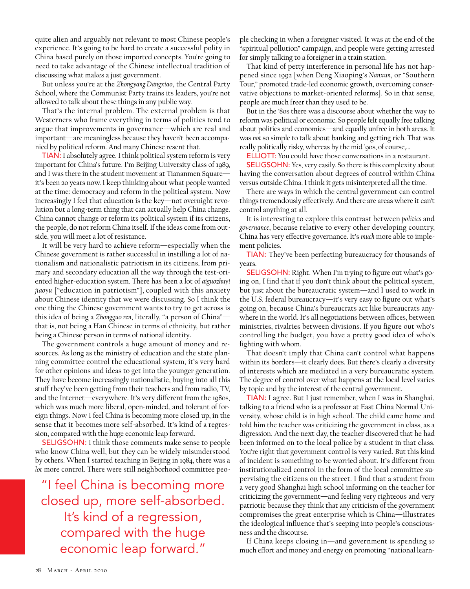quite alien and arguably not relevant to most Chinese people's experience. It's going to be hard to create a successful polity in China based purely on those imported concepts. You're going to need to take advantage of the Chinese intellectual tradition of discussing what makes a just government.

But unless you're at the *Zhongyang Dangxiao*, the Central Party School, where the Communist Party trains its leaders, you're not allowed to talk about these things in any public way.

That's the internal problem. The external problem is that Westerners who frame everything in terms of politics tend to argue that improvements in governance—which are real and important—are meaningless because they haven't been accompanied by political reform. And many Chinese resent that.

TIAN: I absolutely agree. I think political system reform is very important for China's future. I'm Beijing University class of 1989, and I was there in the student movement at Tiananmen Square it's been 20 years now. I keep thinking about what people wanted at the time: democracy and reform in the political system. Now increasingly I feel that education is the key—not overnight revolution but a long-term thing that can actually help China change. China cannot change or reform its political system if its citizens, the people, do not reform China itself. If the ideas come from outside, you will meet a lot of resistance.

It will be very hard to achieve reform—especially when the Chinese government is rather successful in instilling a lot of nationalism and nationalistic patriotism in its citizens, from primary and secondary education all the way through the test-oriented higher-education system. There has been a lot of *aiguozhuyi jiaoyu* ["education in patriotism"], coupled with this anxiety about Chinese identity that we were discussing. So I think the one thing the Chinese government wants to try to get across is this idea of being a *Zhongguo ren*, literally, "a person of China" that is, not being a Han Chinese in terms of ethnicity, but rather being a Chinese person in terms of national identity**.**

The government controls a huge amount of money and resources. As long as the ministry of education and the state planning committee control the educational system, it's very hard for other opinions and ideas to get into the younger generation. They have become increasingly nationalistic, buying into all this stuff they've been getting from their teachers and from radio, TV, and the Internet—everywhere. It's very different from the 1980s, which was much more liberal, open-minded, and tolerant of foreign things. Now I feel China is becoming more closed up, in the sense that it becomes more self-absorbed. It's kind of a regression, compared with the huge economic leap forward.

SELIGSOHN: I think those comments make sense to people who know China well, but they can be widely misunderstood by others. When I started teaching in Beijing in 1984, there was a *lot* more control. There were still neighborhood committee peo-

"I feel China is becoming more closed up, more self-absorbed. It's kind of a regression, compared with the huge economic leap forward."

ple checking in when a foreigner visited. It was at the end of the "spiritual pollution" campaign, and people were getting arrested for simply talking to a foreigner in a train station.

That kind of petty interference in personal life has not happened since 1992 [when Deng Xiaoping's *Nanxun*, or "Southern Tour," promoted trade-led economic growth, overcoming conservative objections to market-oriented reforms]. So in that sense, people are much freer than they used to be.

But in the '80s there was a discourse about whether the way to reform was political or economic. So people felt equally free talking about politics and economics—and equally unfree in both areas. It was *not* so simple to talk about banking and getting rich. That was really politically risky, whereas by the mid '90s, of course,…

ELLIOTT: You could have those conversations in a restaurant.

SELIGSOHN: Yes, very easily. So there is this complexity about having the conversation about degrees of control within China versus outside China. I think it gets misinterpreted all the time.

There are ways in which the central government can control things tremendously effectively. And there are areas where it can't control anything at all.

It is interesting to explore this contrast between *politics* and *governance*, because relative to every other developing country, China has very effective governance. It's *much* more able to implement policies.

TIAN: They've been perfecting bureaucracy for thousands of years.

SELIGSOHN: Right. When I'm trying to figure out what's going on, I find that if you don't think about the political system, but just about the bureaucratic system—and I used to work in the U.S. federal bureaucracy—it's very easy to figure out what's going on, because China's bureaucrats act like bureaucrats anywhere in the world. It's all negotiations between offices, between ministries, rivalries between divisions. If you figure out who's controlling the budget, you have a pretty good idea of who's fighting with whom.

That doesn't imply that China can't control what happens within its borders—it clearly does. But there's clearly a diversity of interests which are mediated in a very bureaucratic system. The degree of control over what happens at the local level varies by topic and by the interest of the central government.

TIAN: I agree. But I just remember, when I was in Shanghai, talking to a friend who is a professor at East China Normal University, whose child is in high school. The child came home and told him the teacher was criticizing the government in class, as a digression. And the next day, the teacher discovered that he had been informed on to the local police by a student in that class. You're right that government control is very varied. But this kind of incident is something to be worried about. It's different from institutionalized control in the form of the local committee supervising the citizens on the street. I find that a student from a very good Shanghai high school informing on the teacher for criticizing the government—and feeling very righteous and very patriotic because they think that any criticism of the government compromises the great enterprise which is China—illustrates the ideological influence that's seeping into people's consciousness and the discourse.

If China keeps closing in—and government is spending *so* much effort and money and energy on promoting "national learn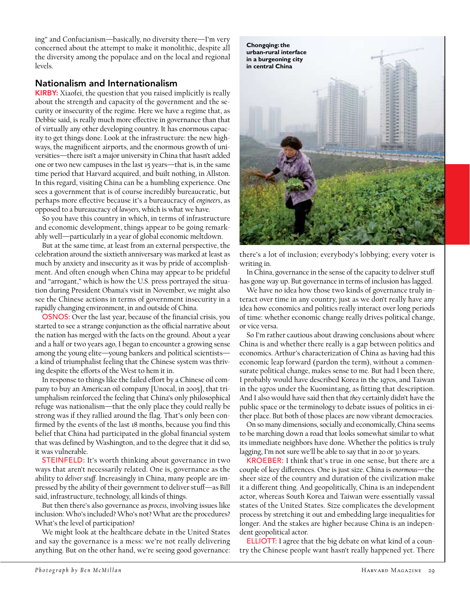ing" and Confucianism—basically, no diversity there—I'm very concerned about the attempt to make it monolithic, despite all the diversity among the populace and on the local and regional levels.

### Nationalism and Internationalism

KIRBY: Xiaofei, the question that you raised implicitly is really about the strength and capacity of the government and the security or insecurity of the regime. Here we have a regime that, as Debbie said, is really much more effective in governance than that of virtually any other developing country. It has enormous capacity to get things done. Look at the infrastructure: the new highways, the magnificent airports, and the enormous growth of universities—there isn't a major university in China that hasn't added one or two new campuses in the last 15 years—that is, in the same time period that Harvard acquired, and built nothing, in Allston. In this regard, visiting China can be a humbling experience. One sees a government that is of course incredibly bureaucratic, but perhaps more effective because it's a bureaucracy of *engineers*, as opposed to a bureaucracy of *lawyers*, which is what we have.

So you have this country in which, in terms of infrastructure and economic development, things appear to be going remarkably well—particularly in a year of global economic meltdown.

But at the same time, at least from an external perspective, the celebration around the sixtieth anniversary was marked at least as much by anxiety and insecurity as it was by pride of accomplishment. And often enough when China may appear to be prideful and "arrogant," which is how the U.S. press portrayed the situation during President Obama's visit in November, we might also see the Chinese actions in terms of government insecurity in a rapidly changing environment, in and outside of China.

OSNOS: Over the last year, because of the financial crisis, you started to see a strange conjunction as the official narrative about the nation has merged with the facts on the ground. About a year and a half or two years ago, I began to encounter a growing sense among the young elite—young bankers and political scientists a kind of triumphalist feeling that the Chinese system was thriving despite the efforts of the West to hem it in.

In response to things like the failed effort by a Chinese oil company to buy an American oil company [Unocal, in 2005], that triumphalism reinforced the feeling that China's only philosophical refuge was nationalism—that the only place they could really be strong was if they rallied around the flag. That's only been confirmed by the events of the last 18 months, because you find this belief that China had participated in the global financial system that was defined by Washington, and to the degree that it did so, it was vulnerable.

STEINFELD: It's worth thinking about governance in two ways that aren't necessarily related. One is, governance as the ability to *deliver stuff*. Increasingly in China, many people are impressed by the ability of their government to deliver stuff—as Bill said, infrastructure, technology, all kinds of things.

But then there's also governance as *process*, involving issues like inclusion: Who's included? Who's not? What are the procedures? What's the level of participation?

We might look at the healthcare debate in the United States and say the governance is a mess: we're not really delivering anything. But on the other hand, we're seeing good governance:



there's a lot of inclusion; everybody's lobbying; every voter is writing in.

In China, governance in the sense of the capacity to deliver stuff has gone way up. But governance in terms of inclusion has lagged.

We have no idea how those two kinds of governance truly interact over time in any country, just as we don't really have any idea how economics and politics really interact over long periods of time: whether economic change really drives political change, or vice versa.

So I'm rather cautious about drawing conclusions about where China is and whether there really is a gap between politics and economics. Arthur's characterization of China as having had this economic leap forward (pardon the term), without a commensurate political change, makes sense to me. But had I been there, I probably would have described Korea in the 1970s, and Taiwan in the 1970s under the Kuomintang, as fitting that description. And I also would have said then that *they* certainly didn't have the public space or the terminology to debate issues of politics in either place. But both of those places are now vibrant democracies.

On so many dimensions, socially and economically, China seems to be marching down a road that looks somewhat similar to what its immediate neighbors have done. Whether the politics is truly lagging, I'm not sure we'll be able to say that in 20 or 30 years.

KROEBER: I think that's true in one sense, but there are a couple of key differences. One is just size. China is *enormous*—the sheer size of the country and duration of the civilization make it a different thing. And geopolitically, China is an independent actor, whereas South Korea and Taiwan were essentially vassal states of the United States. Size complicates the development process by stretching it out and embedding large inequalities for longer. And the stakes are higher because China is an independent geopolitical actor.

ELLIOTT: I agree that the big debate on what kind of a country the Chinese people want hasn't really happened yet. There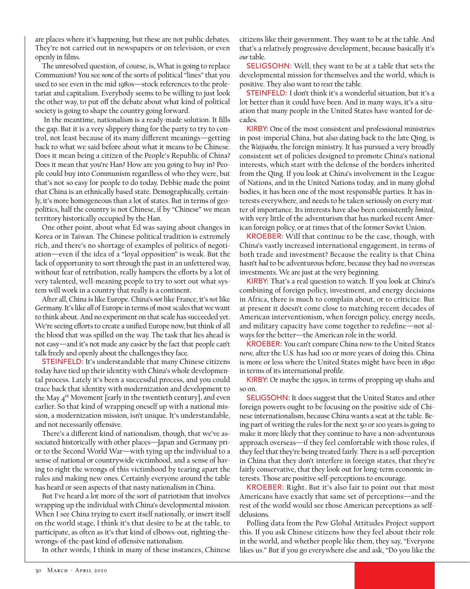are places where it's happening, but these are not public debates. They're not carried out in newspapers or on television, or even openly in films.

The unresolved question, of course, is, What is going to replace Communism? You see *none* of the sorts of political "lines" that you used to see even in the mid 1980s—stock references to the proletariat and capitalism. Everybody seems to be willing to just look the other way, to put off the debate about what kind of political society is going to shape the country going forward.

 In the meantime, nationalism is a ready-made solution. It fills the gap. But it is a very slippery thing for the party to try to control, not least because of its many different meanings—getting back to what we said before about what it means to be Chinese. Does it mean being a citizen of the People's Republic of China? Does it mean that you're Han? How are you going to buy in? People could buy into Communism regardless of who they were, but that's not so easy for people to do today. Debbie made the point that China is an ethnically based state. Demographically, certainly, it's more homogeneous than a lot of states. But in terms of geopolitics, half the country is not Chinese, if by "Chinese" we mean territory historically occupied by the Han.

One other point, about what Ed was saying about changes in Korea or in Taiwan. The Chinese political tradition is extremely rich, and there's no shortage of examples of politics of negotiation—even if the idea of a "loyal opposition" is weak. But the lack of opportunity to sort through the past in an unfettered way, without fear of retribution, really hampers the efforts by a lot of very talented, well-meaning people to try to sort out what system will work in a country that really is a continent.

After all, China is like Europe. China's *not* like France, it's *not* like Germany. It's like *all* of Europe in terms of most scales that we want to think about. And no experiment on that scale has succeeded yet. We're seeing efforts to create a unified Europe now, but think of all the blood that was spilled on the way. The task that lies ahead is not easy—and it's not made any easier by the fact that people can't talk freely and openly about the challenges they face.

STEINFELD: It's understandable that many Chinese citizens today have tied up their identity with China's whole developmental process. Lately it's been a successful process, and you could trace back that identity with modernization and development to the May  $4<sup>th</sup>$  Movement [early in the twentieth century], and even earlier. So that kind of wrapping oneself up with a national mission, a modernization mission, isn't unique. It's understandable, and not necessarily offensive.

There's a different kind of nationalism, though, that we've associated historically with other places—Japan and Germany prior to the Second World War—with tying up the individual to a sense of national or countrywide victimhood, and a sense of having to right the wrongs of this victimhood by tearing apart the rules and making new ones. Certainly everyone around the table has heard or seen aspects of that nasty nationalism in China.

But I've heard a lot more of the sort of patriotism that involves wrapping up the individual with China's developmental mission. When I see China trying to exert itself nationally, or insert itself on the world stage, I think it's that desire to be at the table, to participate, as often as it's that kind of elbows-out, righting-thewrongs-of-the-past kind of offensive nationalism.

In other words, I think in many of these instances, Chinese

citizens like their government. They want to be at the table. And that's a relatively progressive development, because basically it's *our* table.

SELIGSOHN: Well, they want to be at a table that sets the developmental mission for themselves and the world, which is positive. They also want to *reset* the table.

STEINFELD: I don't think it's a wonderful situation, but it's a lot better than it could have been. And in many ways, it's a situation that many people in the United States have wanted for decades.

KIRBY: One of the most consistent and professional ministries in post-imperial China, but also dating back to the late Qing, is the *Waijiaobu,* the foreign ministry. It has pursued a very broadly consistent set of policies designed to promote China's national interests, which start with the defense of the borders inherited from the Qing. If you look at China's involvement in the League of Nations, and in the United Nations today, and in many global bodies, it has been one of the most responsible parties. It has interests everywhere, and needs to be taken seriously on every matter of importance. Its interests have also been consistently *limited*, with very little of the adventurism that has marked recent American foreign policy, or at times that of the former Soviet Union.

KROEBER: Will that continue to be the case, though, with China's vastly increased international engagement, in terms of both trade and investment? Because the reality is that China hasn't *had* to be adventurous before, because they had no overseas investments. We are just at the very beginning.

KIRBY: That's a real question to watch. If you look at China's combining of foreign policy, investment, and energy decisions in Africa, there is much to complain about, or to criticize. But at present it doesn't come close to matching recent decades of American interventionism, when foreign policy, energy needs, and military capacity have come together to redefine—not always for the better—the American role in the world.

KROEBER: You can't compare China now to the United States now, after the U.S. has had 100 or more years of doing this. China is more or less where the United States might have been in 1890 in terms of its international profile.

KIRBY: Or maybe the 1950s, in terms of propping up shahs and so on.

SELIGSOHN: It does suggest that the United States and other foreign powers ought to be focusing on the positive side of Chinese internationalism, because China wants a seat at the table. Being part of writing the rules for the next 50 or 100 years is going to make it more likely that they continue to have a non-adventurous approach overseas—if they feel comfortable with those rules, if they feel that they're being treated fairly. There is a self-perception in China that they don't interfere in foreign states, that they're fairly conservative, that they look out for long-term economic interests. Those are positive self-perceptions to encourage.

KROEBER: Right. But it's also fair to point out that most Americans have exactly that same set of perceptions—and the rest of the world would see those American perceptions as selfdelusions.

Polling data from the Pew Global Attitudes Project support this. If you ask Chinese citizens how they feel about their role in the world, and whether people like them, they say, "Everyone likes us." But if you go everywhere else and ask, "Do you like the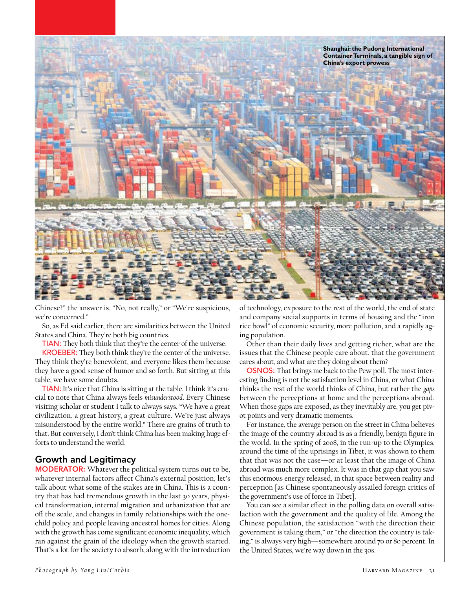

Chinese?" the answer is, "No, not really," or "We're suspicious, we're concerned."

So, as Ed said earlier, there are similarities between the United States and China. They're both big countries.

TIAN: They both think that they're the center of the universe.

KROEBER: They both think they're the center of the universe. They think they're benevolent, and everyone likes them because they have a good sense of humor and so forth. But sitting at this table, we have some doubts.

TIAN: It's nice that China is sitting at the table. I think it's crucial to note that China always feels *misunderstood*. Every Chinese visiting scholar or student I talk to always says, "We have a great civilization, a great history, a great culture. We're just always misunderstood by the entire world." There are grains of truth to that. But conversely, I don't think China has been making huge efforts to understand the world.

# Growth and Legitimacy

MODERATOR: Whatever the political system turns out to be, whatever internal factors affect China's external position, let's talk about what some of the stakes are in China. This is a country that has had tremendous growth in the last 30 years, physical transformation, internal migration and urbanization that are off the scale, and changes in family relationships with the onechild policy and people leaving ancestral homes for cities. Along with the growth has come significant economic inequality, which ran against the grain of the ideology when the growth started. That's a lot for the society to absorb, along with the introduction

of technology, exposure to the rest of the world, the end of state and company social supports in terms of housing and the "iron rice bowl" of economic security, more pollution, and a rapidly aging population.

Other than their daily lives and getting richer, what are the issues that the Chinese people care about, that the government cares about, and what are they doing about them?

OSNOS: That brings me back to the Pew poll. The most interesting finding is not the satisfaction level in China, or what China thinks the rest of the world thinks of China, but rather the *gaps* between the perceptions at home and the perceptions abroad. When those gaps are exposed, as they inevitably are, you get pivot points and very dramatic moments.

For instance, the average person on the street in China believes the image of the country abroad is as a friendly, benign figure in the world. In the spring of 2008, in the run-up to the Olympics, around the time of the uprisings in Tibet, it was shown to them that that was not the case—or at least that the image of China abroad was much more complex. It was in that gap that you saw this enormous energy released, in that space between reality and perception [as Chinese spontaneously assailed foreign critics of the government's use of force in Tibet].

You can see a similar effect in the polling data on overall satisfaction with the government and the quality of life. Among the Chinese population, the satisfaction "with the direction their government is taking them," or "the direction the country is taking," is always very high—somewhere around 70 or 80 percent. In the United States, we're way down in the 30s.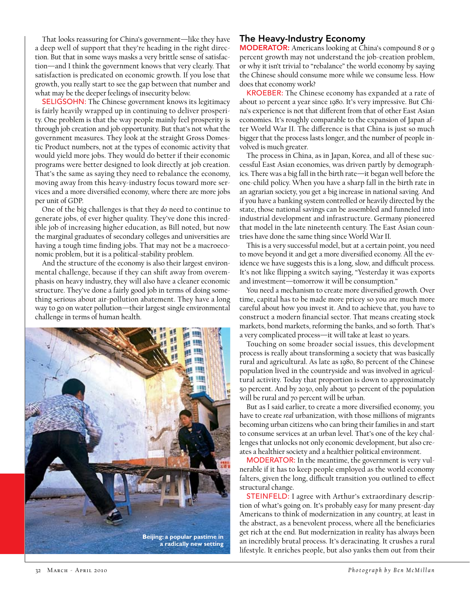That looks reassuring for China's government—like they have a deep well of support that they're heading in the right direction. But that in some ways masks a very brittle sense of satisfaction—and I think the government knows that very clearly. That satisfaction is predicated on economic growth. If you lose that growth, you really start to see the gap between that number and what may be the deeper feelings of insecurity below.

SELIGSOHN: The Chinese government knows its legitimacy is fairly heavily wrapped up in continuing to deliver prosperity. One problem is that the way people mainly feel prosperity is through job creation and job opportunity. But that's not what the government measures. They look at the straight Gross Domestic Product numbers, not at the types of economic activity that would yield more jobs. They would do better if their economic programs were better designed to look directly at job creation. That's the same as saying they need to rebalance the economy, moving away from this heavy-industry focus toward more services and a more diversified economy, where there are more jobs per unit of GDP.

One of the big challenges is that they *do* need to continue to generate jobs, of ever higher quality. They've done this incredible job of increasing higher education, as Bill noted, but now the marginal graduates of secondary colleges and universities are having a tough time finding jobs. That may not be a macroeconomic problem, but it is a political-stability problem.

And the structure of the economy is also their largest environmental challenge, because if they can shift away from overemphasis on heavy industry, they will also have a cleaner economic structure. They've done a fairly good job in terms of doing something serious about air-pollution abatement. They have a long way to go on water pollution—their largest single environmental challenge in terms of human health.



# The Heavy-Industry Economy

MODERATOR: Americans looking at China's compound 8 or 9 percent growth may not understand the job-creation problem, or why it isn't trivial to "rebalance" the world economy by saying the Chinese should consume more while we consume less. How does that economy work?

KROEBER: The Chinese economy has expanded at a rate of about 10 percent a year since 1980. It's very impressive. But China's experience is not that different from that of other East Asian economies. It's roughly comparable to the expansion of Japan after World War II. The difference is that China is just so much bigger that the process lasts longer, and the number of people involved is much greater.

The process in China, as in Japan, Korea, and all of these successful East Asian economies, was driven partly by demographics. There was a big fall in the birth rate—it began well before the one-child policy. When you have a sharp fall in the birth rate in an agrarian society, you get a big increase in national saving. And if you have a banking system controlled or heavily directed by the state, those national savings can be assembled and funneled into industrial development and infrastructure. Germany pioneered that model in the late nineteenth century. The East Asian countries have done the same thing since World War II.

This is a very successful model, but at a certain point, you need to move beyond it and get a more diversified economy. All the evidence we have suggests this is a long, slow, and difficult process. It's not like flipping a switch saying, "Yesterday it was exports and investment—tomorrow it will be consumption."

You need a mechanism to create more diversified growth. Over time, capital has to be made more pricey so you are much more careful about how you invest it. And to achieve that, you have to construct a modern financial sector. That means creating stock markets, bond markets, reforming the banks, and so forth. That's a very complicated process—it will take at least 10 years.

Touching on some broader social issues, this development process is really about transforming a society that was basically rural and agricultural. As late as 1980, 80 percent of the Chinese population lived in the countryside and was involved in agricultural activity. Today that proportion is down to approximately 50 percent. And by 2030, only about 30 percent of the population will be rural and 70 percent will be urban.

But as I said earlier, to create a more diversified economy, you have to create *real* urbanization, with those millions of migrants becoming urban citizens who can bring their families in and start to consume services at an urban level. That's one of the key challenges that unlocks not only economic development, but also creates a healthier society and a healthier political environment.

MODERATOR: In the meantime, the government is very vulnerable if it has to keep people employed as the world economy falters, given the long, difficult transition you outlined to effect structural change.

STEINFELD: I agree with Arthur's extraordinary description of what's going on. It's probably easy for many present-day Americans to think of modernization in any country, at least in the abstract, as a benevolent process, where all the beneficiaries get rich at the end. But modernization in reality has always been an incredibly brutal process. It's deracinating. It crushes a rural lifestyle. It enriches people, but also yanks them out from their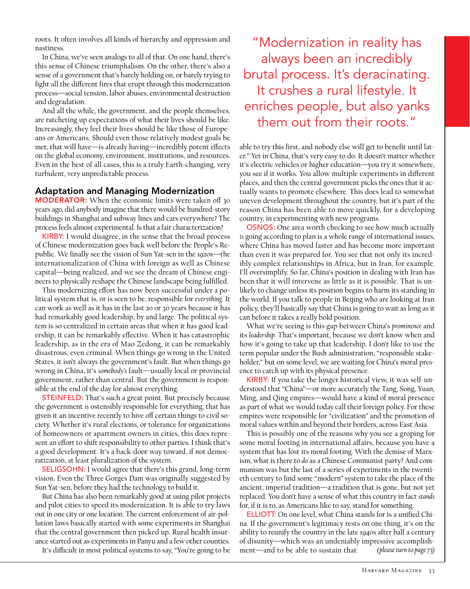roots. It often involves all kinds of hierarchy and oppression and nastiness.

In China, we've seen analogs to all of that. On one hand, there's this sense of Chinese triumphalism. On the other, there's also a sense of a government that's barely holding on, or barely trying to fight all the different fires that erupt through this modernization process—social tension, labor abuses, environmental destruction and degradation.

And all the while, the government, and the people themselves, are ratcheting up expectations of what their lives should be like. Increasingly, they feel their lives should be like those of Europeans or Americans. Should even those relatively modest goals be met, that will have—is already having—incredibly potent effects on the global economy, environment, institutions, and resources. Even in the best of all cases, this is a truly Earth-changing, very turbulent, very unpredictable process.

#### Adaptation and Managing Modernization

MODERATOR: When the economic limits were taken off 30 years ago, did anybody imagine that there would be hundred-story buildings in Shanghai and subway lines and cars everywhere? The process feels almost experimental. Is that a fair characterization?

KIRBY: I would disagree, in the sense that the broad process of Chinese modernization goes back well before the People's Republic. We finally see the vision of Sun Yat-sen in the 1920s—the internationalization of China with foreign as well as Chinese capital—being realized, and we see the dream of Chinese engineers to physically reshape the Chinese landscape being fulfilled.

This modernizing effort has now been successful under a political system that is, or is seen to be, responsible for *everything*. It can work as well as it has in the last 20 or 30 years because it has had remarkably good leadership, by and large. The political system is so centralized in certain areas that when it has good leadership, it can be remarkably effective. When it has catastrophic leadership, as in the era of Mao Zedong, it can be remarkably disastrous, even criminal. When things go wrong in the United States, it isn't always the government's fault. But when things go wrong in China, it's *somebody's* fault—usually local or provincial government, rather than central. But the government is responsible at the end of the day for almost everything.

STEINFELD: That's such a great point. But precisely because the government *is* ostensibly responsible for everything, that has given it an incentive recently to hive off certain things to civil society. Whether it's rural elections, or tolerance for organizations of homeowners or apartment owners in cities, this does represent an effort to shift responsibility to other parties. I think that's a good development. It's a back-door way toward, if not democratization, at least pluralization of the system.

SELIGSOHN: I would agree that there's this grand, long-term vision. Even the Three Gorges Dam was originally suggested by Sun Yat-sen, before they had the technology to build it.

But China has also been remarkably good at using pilot projects and pilot cities to speed its modernization. It is able to try laws out in one city or one location. The current enforcement of air-pollution laws basically started with some experiments in Shanghai that the central government then picked up. Rural health insurance started out as experiments in Panyu and a few other counties.

It's difficult in most political systems to say, "You're going to be

"Modernization in reality has always been an incredibly brutal process. It's deracinating. It crushes a rural lifestyle. It enriches people, but also yanks them out from their roots."

able to try this first, and nobody else will get to benefit until later." Yet in China, that's very easy to do. It doesn't matter whether it's electric vehicles or higher education—you try it somewhere, you see if it works. You allow multiple experiments in different places, and then the central government picks the ones that it actually wants to promote elsewhere. This does lead to somewhat uneven development throughout the country, but it's part of the reason China has been able to move quickly, for a developing country, in experimenting with new programs.

OSNOS: One area worth checking to see how much actually *is* going according to plan is a whole range of international issues, where China has moved faster and has become more important than even it was prepared for. You see that not only its incredibly complex relationships in Africa, but in Iran, for example. I'll oversimplify. So far, China's position in dealing with Iran has been that it will intervene as little as it is possible. That is unlikely to change unless its position begins to harm its standing in the world. If you talk to people in Beijing who are looking at Iran policy, they'll basically say that China is going to wait as long as it can before it takes a really bold position.

What we're seeing is this gap between China's *prominence* and its *leadership*. That's important, because we don't know when and how it's going to take up that leadership. I don't like to use the term popular under the Bush administration, "responsible stakeholder," but on some level, we are waiting for China's moral presence to catch up with its physical presence.

KIRBY: If you take the longer historical view, it was self-understood that "China"—or more accurately the Tang, Song, Yuan, Ming, and Qing empires—would have a kind of moral presence as part of what we would today call their foreign policy. For these empires were responsible for "civilization" and the promotion of moral values within and beyond their borders, across East Asia.

This is possibly one of the reasons why you see a groping for some moral footing in international affairs, because you have a system that has lost its moral footing. With the demise of Marxism, what is there to *do* as a Chinese Communist party? And communism was but the last of a series of experiments in the twentieth century to find some "modern" system to take the place of the ancient, imperial tradition—a tradition that is gone, but not yet replaced. You don't have a sense of what this country in fact *stands* for, if it is to, as Americans like to say, stand for something.

ELLIOTT: On one level, what China stands for is a unified China. If the government's legitimacy rests on one thing, it's on the ability to reunify the country in the late 1940s after half a century of disunity—which was an undeniably impressive accomplishment—and to be able to sustain that *(please turn to page 73)*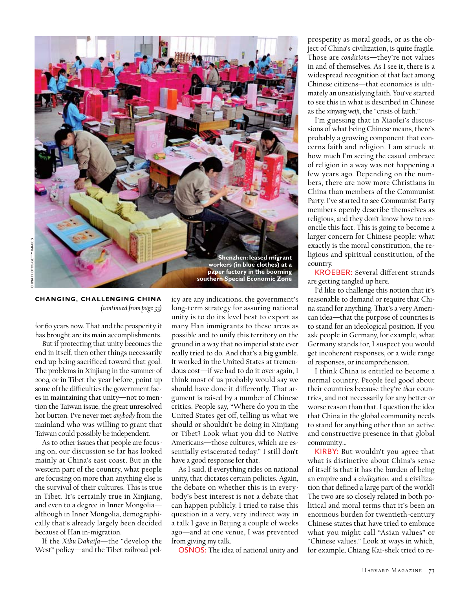

**Changing, Challenging China**  *(continued from page 33)*

for 60 years now. That and the prosperity it has brought are its main accomplishments.

But if protecting that unity becomes the end in itself, then other things necessarily end up being sacrificed toward that goal. The problems in Xinjiang in the summer of 2009, or in Tibet the year before, point up some of the difficulties the government faces in maintaining that unity—not to mention the Taiwan issue, the great unresolved hot button. I've never met *anybody* from the mainland who was willing to grant that Taiwan could possibly be independent.

As to other issues that people are focusing on, our discussion so far has looked mainly at China's east coast. But in the western part of the country, what people are focusing on more than anything else is the survival of their cultures. This is true in Tibet. It's certainly true in Xinjiang, and even to a degree in Inner Mongolia although in Inner Mongolia, demographically that's already largely been decided because of Han in-migration.

If the *Xibu Dakaifa*—the "develop the West" policy—and the Tibet railroad policy are any indications, the government's long-term strategy for assuring national unity is to do its level best to export as many Han immigrants to these areas as possible and to unify this territory on the ground in a way that no imperial state ever really tried to do. And that's a big gamble. It worked in the United States at tremendous cost—if we had to do it over again, I think most of us probably would say we should have done it differently. That argument is raised by a number of Chinese critics. People say, "Where do you in the United States get off, telling us what we should or shouldn't be doing in Xinjiang or Tibet? Look what you did to Native Americans—those cultures, which are essentially eviscerated today." I still don't have a good response for that.

As I said, if everything rides on national unity, that dictates certain policies. Again, the debate on whether this is in everybody's best interest is not a debate that can happen publicly. I tried to raise this question in a very, very indirect way in a talk I gave in Beijing a couple of weeks ago—and at one venue, I was prevented from giving my talk.

OSNOS: The idea of national unity and

prosperity as moral goods, or as the object of China's civilization, is quite fragile. Those are *conditions*—they're not values in and of themselves. As I see it, there is a widespread recognition of that fact among Chinese citizens—that economics is ultimately an unsatisfying faith. You've started to see this in what is described in Chinese as the *xinyang weiji*, the "crisis of faith."

I'm guessing that in Xiaofei's discussions of what being Chinese means, there's probably a growing component that concerns faith and religion. I am struck at how much I'm seeing the casual embrace of religion in a way was not happening a few years ago. Depending on the numbers, there are now more Christians in China than members of the Communist Party. I've started to see Communist Party members openly describe themselves as religious, and they don't know how to reconcile this fact. This is going to become a larger concern for Chinese people: what exactly is the moral constitution, the religious and spiritual constitution, of the country.

KROEBER: Several different strands are getting tangled up here.

I'd like to challenge this notion that it's reasonable to demand or require that China stand for anything. That's a very American idea—that the purpose of countries is to stand for an ideological position. If you ask people in Germany, for example, what Germany stands for, I suspect you would get incoherent responses, or a wide range of responses, or incomprehension.

I think China is entitled to become a normal country. People feel good about their countries because they're *their* countries, and not necessarily for any better or worse reason than that. I question the idea that China in the global community needs to stand for anything other than an active and constructive presence in that global community…

KIRBY: But wouldn't you agree that what is distinctive about China's sense of itself is that it has the burden of being an empire and a *civilization*, and a civilization that defined a large part of the world? The two are so closely related in both political and moral terms that it's been an enormous burden for twentieth-century Chinese states that have tried to embrace what you might call "Asian values" or "Chinese values." Look at ways in which, for example, Chiang Kai-shek tried to re